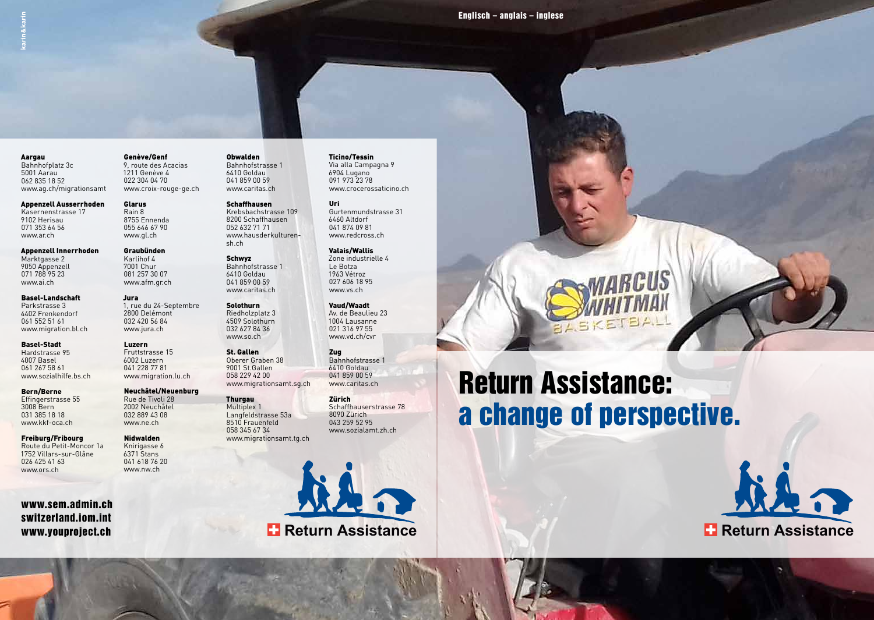Aargau Bahnhofplatz 3c 5001 Aarau 062 835 18 52 www.ag.ch/migrationsamt

Appenzell Ausserrhoden Kasernenstrasse 17 9102 Herisau 071 353 64 56 www.ar.ch

Appenzell Innerrhoden Marktgasse 2 9050 Appenzell 071 788 95 23 www.ai.ch

Basel-Landschaft Parkstrasse 3 4402 Frenkendorf 061 552 51 61 www.migration.bl.ch

Basel-Stadt Hardstrasse 95 4007 Basel 061 267 58 61 www.sozialhilfe.bs.ch

Bern/Berne Effingerstrasse 55 3008 Bern 031 385 18 18 www.kkf-oca.ch

Freiburg/Fribourg Route du Petit-Moncor 1a 1752 Villars-sur-Glâne 026 425 41 63 www.ors.ch

www.sem.admin.ch switzerland.iom.int www.youproject.ch

Genève/Genf 9, route des Acacias 1211 Genève 4 022 304 04 70 www.croix-rouge-ge.ch

Glarus Rain 8 8755 Ennenda 055 646 67 90 www.gl.ch Graubünden Karlihof 4 7001 Chur 081 257 30 07 www.afm.gr.ch

Jura

2800 Delémont 032 420 56 84 www.jura.ch Luzern Fruttstrasse 15 6002 Luzern 041 228 77 81 www.migration.lu.ch Neuchâtel/Neuenburg Rue de Tivoli 28 2002 Neuchâtel 032 889 43 08 www.ne.ch Nidwalden Knirigasse 6 6371 Stans 041 618 76 20 www.nw.ch

Schaffhausen Krebsbachstrasse 109 8200 Schaffhausen 052 632 71 71 www.hausderkulturensh.ch

Schwyz Bahnhofstrasse 1 6410 Goldau 041 859 00 59 www.caritas.ch

Obwalden Bahnhofstrasse 1 6410 Goldau 041 859 00 59 www.caritas.ch

#### 1, rue du 24-Septembre **Solothurn** Riedholzplatz 3 4509 Solothurn 032 627 84 36 www.so.ch

St. Gallen Oberer Graben 38 9001 St.Gallen 058 229 42 00 www.migrationsamt.sg.ch

**Thurgau** Multiplex 1 Langfeldstrasse 53a 8510 Frauenfeld 058 345 67 34 www.migrationsamt.tg.ch



#### Ticino/Tessin Via alla Campagna 9

6904 Lugano 091 973 23 78 www.crocerossaticino.ch

Uri Gurtenmundstrasse 31 6460 Altdorf 041 874 09 81 www.redcross.ch

Valais/Wallis Zone industrielle 4 Le Botza 1963 Vétroz 027 606 18 95 www.vs.ch

Vaud/Waadt Av. de Beaulieu 23 1004 Lausanne 021 316 97 55 www.vd.ch/cvr

Zug Bahnhofstrasse 1 6410 Goldau 041 859 00 59 www.caritas.ch

Zürich Schaffhauserstrasse 78 8090 Zürich 043 259 52 95 www.sozialamt.zh.ch

# Return Assistance: a change of perspective.